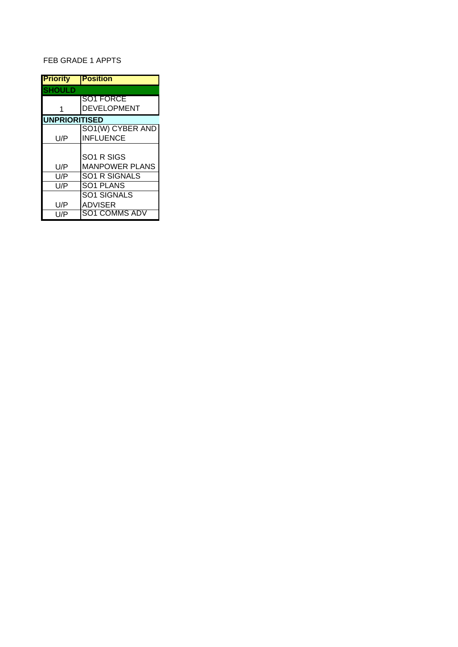# FEB GRADE 1 APPTS

| <b>Priority</b>      | <b>Position</b>       |
|----------------------|-----------------------|
| <b>SHOULD</b>        |                       |
|                      | SO1 FORCE             |
| 1                    | <b>DEVELOPMENT</b>    |
| <b>UNPRIORITISED</b> |                       |
|                      | SO1(W) CYBER AND      |
| U/P                  | <b>INFLUENCE</b>      |
|                      |                       |
|                      | SO1 R SIGS            |
| U/P                  | <b>MANPOWER PLANS</b> |
| U/P                  | <b>SO1 R SIGNALS</b>  |
| U/P                  | SO1 PLANS             |
|                      | <b>SO1 SIGNALS</b>    |
| U/P                  | <b>ADVISER</b>        |
| U/P                  | SO1 COMMS ADV         |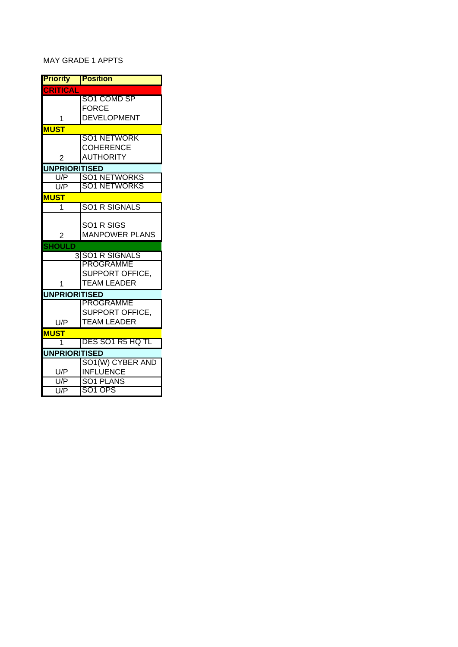# MAY GRADE 1 APPTS

| <b>Priority</b>             | <b>Position</b>                      |
|-----------------------------|--------------------------------------|
| <b>CRITICAL</b>             |                                      |
|                             | SO1 COMD SP                          |
|                             | <b>FORCE</b>                         |
| 1                           | <b>DEVELOPMENT</b>                   |
| <b>MUST</b>                 |                                      |
|                             | SO1 NETWORK                          |
|                             | <b>COHERENCE</b><br><b>AUTHORITY</b> |
| $\overline{2}$              |                                      |
| <b>UNPRIORITISED</b><br>U/P | <b>SO1 NETWORKS</b>                  |
| U/P                         | <b>SO1 NETWORKS</b>                  |
| <b>MUST</b>                 |                                      |
| 1                           | <b>SO1 R SIGNALS</b>                 |
|                             |                                      |
|                             | SO1 R SIGS                           |
| 2                           | <b>MANPOWER PLANS</b>                |
| <b>SHOULD</b>               |                                      |
|                             | 3 ISO1 R SIGNALS                     |
|                             | PROGRAMME                            |
|                             | <b>SUPPORT OFFICE.</b>               |
| 1                           | <b>TEAM LEADER</b>                   |
| <b>UNPRIORITISED</b>        |                                      |
|                             | <b>PROGRAMME</b><br>SUPPORT OFFICE,  |
| U/P                         | <b>TEAM LEADER</b>                   |
|                             |                                      |
| <b>MUST</b><br>1            | DES SO1 R5 HQ TL                     |
| <b>UNPRIORITISED</b>        |                                      |
|                             | SO1(W) CYBER AND                     |
| U/P                         | <b>INFLUENCE</b>                     |
| U/P                         | SO1 PLANS                            |
| U/P                         | SO1 OPS                              |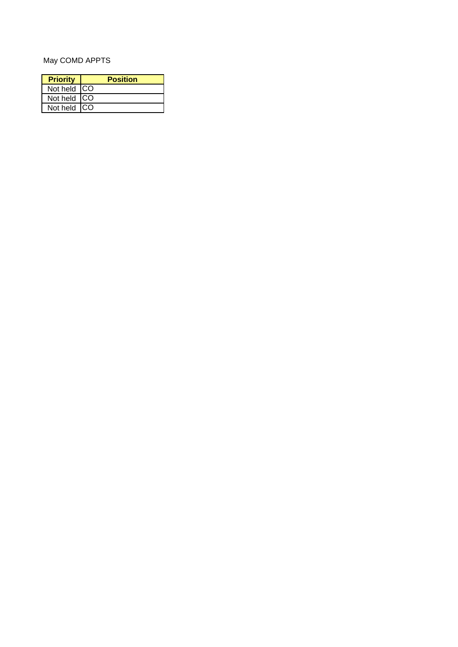# May COMD APPTS

| <b>Priority</b> | <b>Position</b> |
|-----------------|-----------------|
| Not held CO     |                 |
| Not held CO     |                 |
| Not held CO     |                 |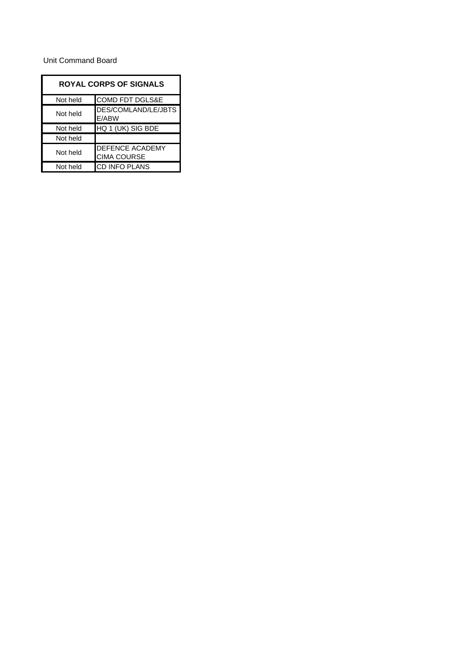#### Unit Command Board

| <b>ROYAL CORPS OF SIGNALS</b> |                                       |
|-------------------------------|---------------------------------------|
| Not held                      | COMD FDT DGLS&E                       |
| Not held                      | DES/COMLAND/LE/JBTS<br>E/ABW          |
| Not held                      | HQ 1 (UK) SIG BDE                     |
| Not held                      |                                       |
| Not held                      | DEFENCE ACADEMY<br><b>CIMA COURSE</b> |
| Not held                      | <b>CD INFO PLANS</b>                  |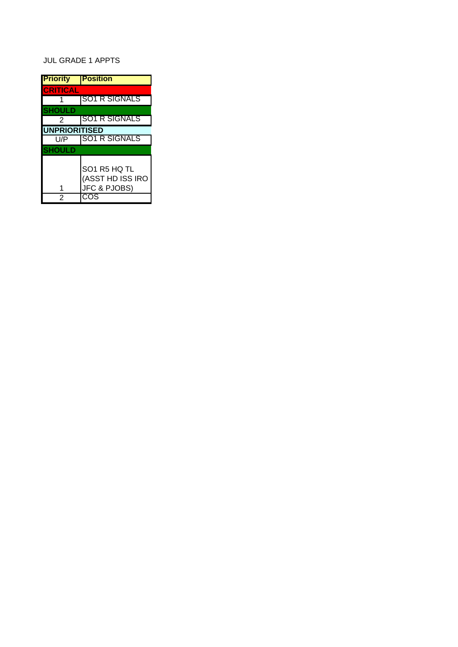# JUL GRADE 1 APPTS

| <b>Priority</b>      | <b>Position</b>                                                   |
|----------------------|-------------------------------------------------------------------|
| <b>CRITICAL</b>      |                                                                   |
|                      | <b>SO1 R SIGNALS</b>                                              |
| <b>SHOULD</b>        |                                                                   |
| $\mathcal{P}$        | ISO1 R SIGNALS                                                    |
| <b>UNPRIORITISED</b> |                                                                   |
| U/P                  | <b>SO1 R SIGNALS</b>                                              |
| <b>SHOULD</b>        |                                                                   |
|                      | SO1 R5 HQ TL<br>(ASST HD ISS IRO<br><b>JFC &amp; PJOBS)</b><br>ΩS |
| 2                    | СX                                                                |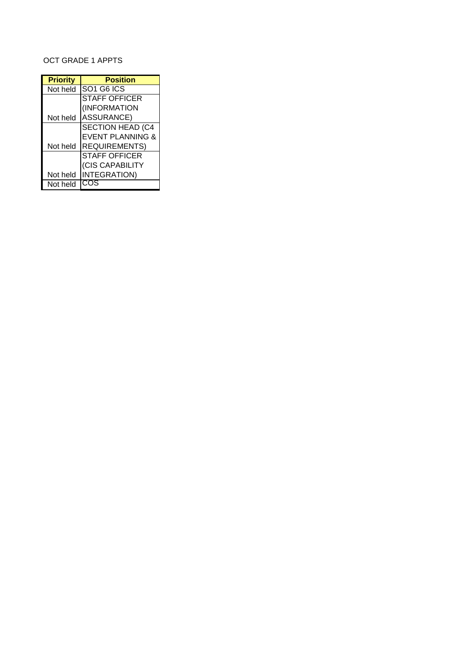# OCT GRADE 1 APPTS

| <b>Priority</b> | <b>Position</b>                    |
|-----------------|------------------------------------|
| Not held        | SO <sub>1</sub> G <sub>6</sub> ICS |
|                 | <b>STAFF OFFICER</b>               |
|                 | (INFORMATION                       |
| Not held        | <b>ASSURANCE)</b>                  |
|                 | <b>SECTION HEAD (C4</b>            |
|                 | <b>EVENT PLANNING &amp;</b>        |
| Not held        | <b>REQUIREMENTS)</b>               |
|                 | <b>STAFF OFFICER</b>               |
|                 | (CIS CAPABILITY                    |
| Not held        | <b>INTEGRATION)</b>                |
| Not held        | COS                                |